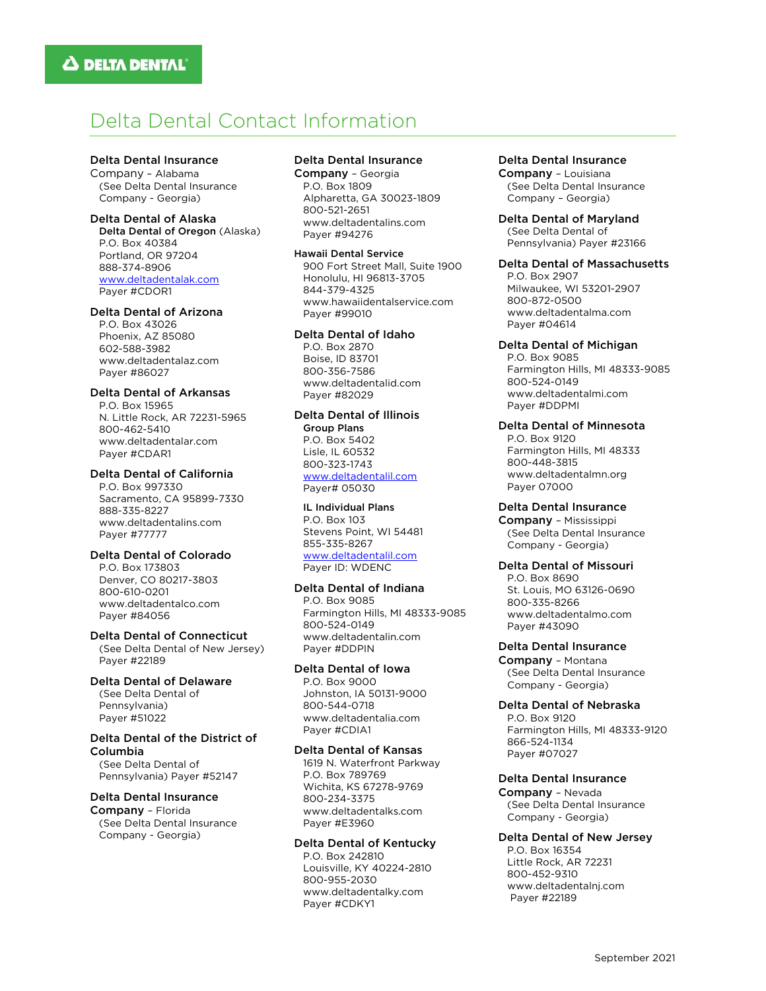# Delta Dental Contact Information

Delta Dental Insurance Company – Alabama

(See Delta Dental Insurance Company - Georgia)

#### Delta Dental of Alaska Delta Dental of Oregon (Alaska) P.O. Box 40384 Portland, OR 97204 888-374-8906 www.deltadentalak.com Payer #CDOR1

### Delta Dental of Arizona

P.O. Box 43026 Phoenix, AZ 85080 602-588-3982 www.deltadentalaz.com Payer #86027

# Delta Dental of Arkansas

P.O. Box 15965 N. Little Rock, AR 72231-5965 800-462-5410 www.deltadentalar.com Payer #CDAR1

# Delta Dental of California

P.O. Box 997330 Sacramento, CA 95899-7330 888-335-8227 www.deltadentalins.com Payer #77777

# Delta Dental of Colorado

P.O. Box 173803 Denver, CO 80217-3803 800-610-0201 www.deltadentalco.com Payer #84056

### Delta Dental of Connecticut

(See Delta Dental of New Jersey) Payer #22189

## Delta Dental of Delaware

(See Delta Dental of Pennsylvania) Payer #51022

### Delta Dental of the District of Columbia

(See Delta Dental of Pennsylvania) Payer #52147

### Delta Dental Insurance

Company – Florida (See Delta Dental Insurance Company - Georgia)

## Delta Dental Insurance

Company – Georgia P.O. Box 1809 Alpharetta, GA 30023-1809 800-521-2651 www.deltadentalins.com Payer #94276

Hawaii Dental Service 900 Fort Street Mall, Suite 1900 Honolulu, HI 96813-3705 844-379-4325 www.hawaiidentalservice.com Payer #99010

### Delta Dental of Idaho

P.O. Box 2870 Boise, ID 83701 800-356-7586 www.deltadentalid.com Payer #82029

# Delta Dental of Illinois

 Group Plans P.O. Box 5402 Lisle, IL 60532 800-323-1743 www.deltadentalil.com Payer# 05030

### IL Individual Plans

 P.O. Box 103 Stevens Point, WI 54481 855-335-8267 www.deltadentalil.com Payer ID: WDENC

# Delta Dental of Indiana

P.O. Box 9085 Farmington Hills, MI 48333-9085 800-524-0149 www.deltadentalin.com Payer #DDPIN

# Delta Dental of Iowa

P.O. Box 9000 Johnston, IA 50131-9000 800-544-0718 www.deltadentalia.com Payer #CDIA1

### Delta Dental of Kansas

1619 N. Waterfront Parkway P.O. Box 789769 Wichita, KS 67278-9769 800-234-3375 www.deltadentalks.com Payer #E3960

### Delta Dental of Kentucky P.O. Box 242810

Louisville, KY 40224-2810 800-955-2030 www.deltadentalky.com Payer #CDKY1

### Delta Dental Insurance

Company – Louisiana (See Delta Dental Insurance Company – Georgia)

Delta Dental of Maryland (See Delta Dental of Pennsylvania) Payer #23166

### Delta Dental of Massachusetts

P.O. Box 2907 Milwaukee, WI 53201-2907 800-872-0500 www.deltadentalma.com Payer #04614

### Delta Dental of Michigan

P.O. Box 9085 Farmington Hills, MI 48333-9085 800-524-0149 www.deltadentalmi.com Payer #DDPMI

Delta Dental of Minnesota P.O. Box 9120 Farmington Hills, MI 48333 800-448-3815 www.deltadentalmn.org Payer 07000

### Delta Dental Insurance

Company – Mississippi (See Delta Dental Insurance Company - Georgia)

### Delta Dental of Missouri

P.O. Box 8690 St. Louis, MO 63126-0690 800-335-8266 www.deltadentalmo.com Payer #43090

### Delta Dental Insurance

Company – Montana (See Delta Dental Insurance Company - Georgia)

Delta Dental of Nebraska P.O. Box 9120 Farmington Hills, MI 48333-9120 866-524-1134 Payer #07027

### Delta Dental Insurance

Company – Nevada (See Delta Dental Insurance Company - Georgia)

## Delta Dental of New Jersey

P.O. Box 16354 Little Rock, AR 72231 800-452-9310 www.deltadentalnj.com Payer #22189